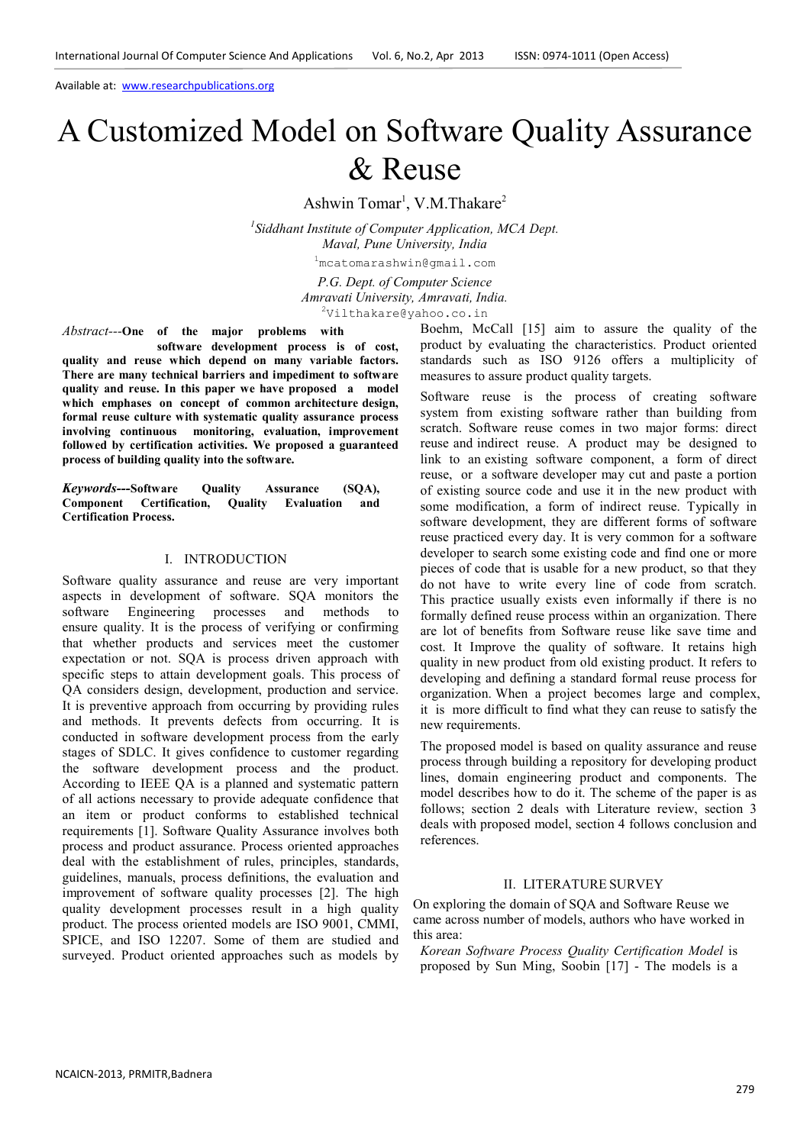# A Customized Model on Software Quality Assurance & Reuse

Ashwin Tomar<sup>1</sup>, V.M.Thakare<sup>2</sup>

*1 Siddhant Institute of Computer Application, MCA Dept. Maval, Pune University, India*

<sup>1</sup>mcatomarashwin@gmail.com

*P.G. Dept. of Computer Science Amravati University, Amravati, India.* <sup>2</sup>Vilthakare@yahoo.co.in

*Abstract---***One of the major problems with**

 **software development process is of cost, quality and reuse which depend on many variable factors. There are many technical barriers and impediment to software quality and reuse. In this paper we have proposed a model which emphases on concept of common architecture design, formal reuse culture with systematic quality assurance process involving continuous monitoring, evaluation, improvement followed by certification activities. We proposed a guaranteed process of building quality into the software.**

*Keywords---***Software Quality Assurance (SQA), Component Certification, Quality Evaluation and Certification Process.**

### I. INTRODUCTION

Software quality assurance and reuse are very important aspects in development of software. SQA monitors the software Engineering processes and methods to ensure quality. It is the process of verifying or confirming that whether products and services meet the customer expectation or not. SQA is process driven approach with specific steps to attain development goals. This process of QA considers design, development, production and service. It is preventive approach from occurring by providing rules and methods. It prevents defects from occurring. It is conducted in software development process from the early stages of SDLC. It gives confidence to customer regarding the software development process and the product. According to IEEE QA is a planned and systematic pattern of all actions necessary to provide adequate confidence that an item or product conforms to established technical requirements [1]. Software Quality Assurance involves both process and product assurance. Process oriented approaches deal with the establishment of rules, principles, standards, guidelines, manuals, process definitions, the evaluation and improvement of software quality processes [2]. The high quality development processes result in a high quality product. The process oriented models are ISO 9001, CMMI, SPICE, and ISO 12207. Some of them are studied and surveyed. Product oriented approaches such as models by Boehm, McCall [15] aim to assure the quality of the product by evaluating the characteristics. Product oriented standards such as ISO 9126 offers a multiplicity of measures to assure product quality targets.

Software reuse is the process of creating software system from existing software rather than building from scratch. Software reuse comes in two major forms: direct reuse and indirect reuse. A product may be designed to link to an existing software component, a form of direct reuse, or a software developer may cut and paste a portion of existing source code and use it in the new product with some modification, a form of indirect reuse. Typically in software development, they are different forms of software reuse practiced every day. It is very common for a software developer to search some existing code and find one or more pieces of code that is usable for a new product, so that they do not have to write every line of code from scratch. This practice usually exists even informally if there is no formally defined reuse process within an organization. There are lot of benefits from Software reuse like save time and cost. It Improve the quality of software. It retains high quality in new product from old existing product. It refers to developing and defining a standard formal reuse process for organization. When a project becomes large and complex, it is more difficult to find what they can reuse to satisfy the new requirements.

The proposed model is based on quality assurance and reuse process through building a repository for developing product lines, domain engineering product and components. The model describes how to do it. The scheme of the paper is as follows; section 2 deals with Literature review, section 3 deals with proposed model, section 4 follows conclusion and references.

## II. LITERATURE SURVEY

On exploring the domain of SQA and Software Reuse we came across number of models, authors who have worked in this area:

*Korean Software Process Quality Certification Model* is proposed by Sun Ming, Soobin [17] - The models is a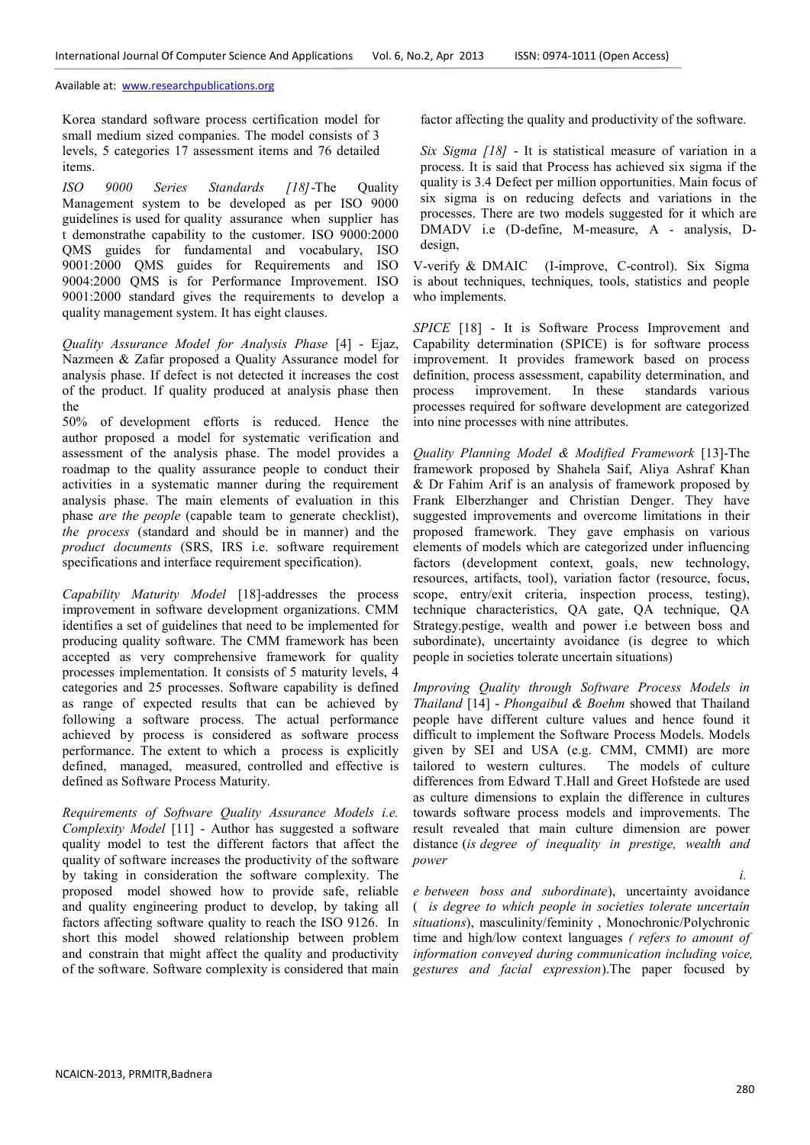Korea standard software process certification model for small medium sized companies. The model consists of 3 levels, 5 categories 17 assessment items and 76 detailed items.

*ISO 9000 Series Standards [18]*-The Quality Management system to be developed as per ISO 9000 guidelines is used for quality assurance when supplier has t demonstrathe capability to the customer. ISO 9000:2000 QMS guides for fundamental and vocabulary, ISO 9001:2000 QMS guides for Requirements and ISO 9004:2000 QMS is for Performance Improvement. ISO 9001:2000 standard gives the requirements to develop a quality management system. It has eight clauses.

*Quality Assurance Model for Analysis Phase* [4] - Ejaz, Nazmeen & Zafar proposed a Quality Assurance model for analysis phase. If defect is not detected it increases the cost of the product. If quality produced at analysis phase then the

50% of development efforts is reduced. Hence the author proposed a model for systematic verification and assessment of the analysis phase. The model provides a roadmap to the quality assurance people to conduct their activities in a systematic manner during the requirement analysis phase. The main elements of evaluation in this phase *are the people* (capable team to generate checklist), *the process* (standard and should be in manner) and the *product documents* (SRS, IRS i.e. software requirement specifications and interface requirement specification).

*Capability Maturity Model* [18]-addresses the process improvement in software development organizations. CMM identifies a set of guidelines that need to be implemented for producing quality software. The CMM framework has been accepted as very comprehensive framework for quality processes implementation. It consists of 5 maturity levels, 4 categories and 25 processes. Software capability is defined as range of expected results that can be achieved by following a software process. The actual performance achieved by process is considered as software process performance. The extent to which a process is explicitly defined, managed, measured, controlled and effective is defined as Software Process Maturity.

*Requirements of Software Quality Assurance Models i.e. Complexity Model* [11] - Author has suggested a software quality model to test the different factors that affect the quality of software increases the productivity of the software by taking in consideration the software complexity. The proposed model showed how to provide safe, reliable and quality engineering product to develop, by taking all factors affecting software quality to reach the ISO 9126. In short this model showed relationship between problem and constrain that might affect the quality and productivity of the software. Software complexity is considered that main factor affecting the quality and productivity of the software.

*Six Sigma [18]* - It is statistical measure of variation in a process. It is said that Process has achieved six sigma if the quality is 3.4 Defect per million opportunities. Main focus of six sigma is on reducing defects and variations in the processes. There are two models suggested for it which are DMADV i.e (D-define, M-measure, A - analysis, Ddesign,

V-verify & DMAIC (I-improve, C-control). Six Sigma is about techniques, techniques, tools, statistics and people who implements.

*SPICE* [18] - It is Software Process Improvement and Capability determination (SPICE) is for software process improvement. It provides framework based on process definition, process assessment, capability determination, and process improvement. In these standards various processes required for software development are categorized into nine processes with nine attributes.

*Quality Planning Model & Modified Framework* [13]-The framework proposed by Shahela Saif, Aliya Ashraf Khan & Dr Fahim Arif is an analysis of framework proposed by Frank Elberzhanger and Christian Denger. They have suggested improvements and overcome limitations in their proposed framework. They gave emphasis on various elements of models which are categorized under influencing factors (development context, goals, new technology, resources, artifacts, tool), variation factor (resource, focus, scope, entry/exit criteria, inspection process, testing), technique characteristics, QA gate, QA technique, QA Strategy.pestige, wealth and power i.e between boss and subordinate), uncertainty avoidance (is degree to which people in societies tolerate uncertain situations)

*Improving Quality through Software Process Models in Thailand* [14] - *Phongaibul & Boehm* showed that Thailand people have different culture values and hence found it difficult to implement the Software Process Models. Models given by SEI and USA (e.g. CMM, CMMI) are more tailored to western cultures. The models of culture differences from Edward T.Hall and Greet Hofstede are used as culture dimensions to explain the difference in cultures towards software process models and improvements. The result revealed that main culture dimension are power distance (*is degree of inequality in prestige, wealth and power*

*e between boss and subordinate*), uncertainty avoidance ( *is degree to which people in societies tolerate uncertain situations*), masculinity/feminity , Monochronic/Polychronic time and high/low context languages *( refers to amount of information conveyed during communication including voice, gestures and facial expression*).The paper focused by

*i.*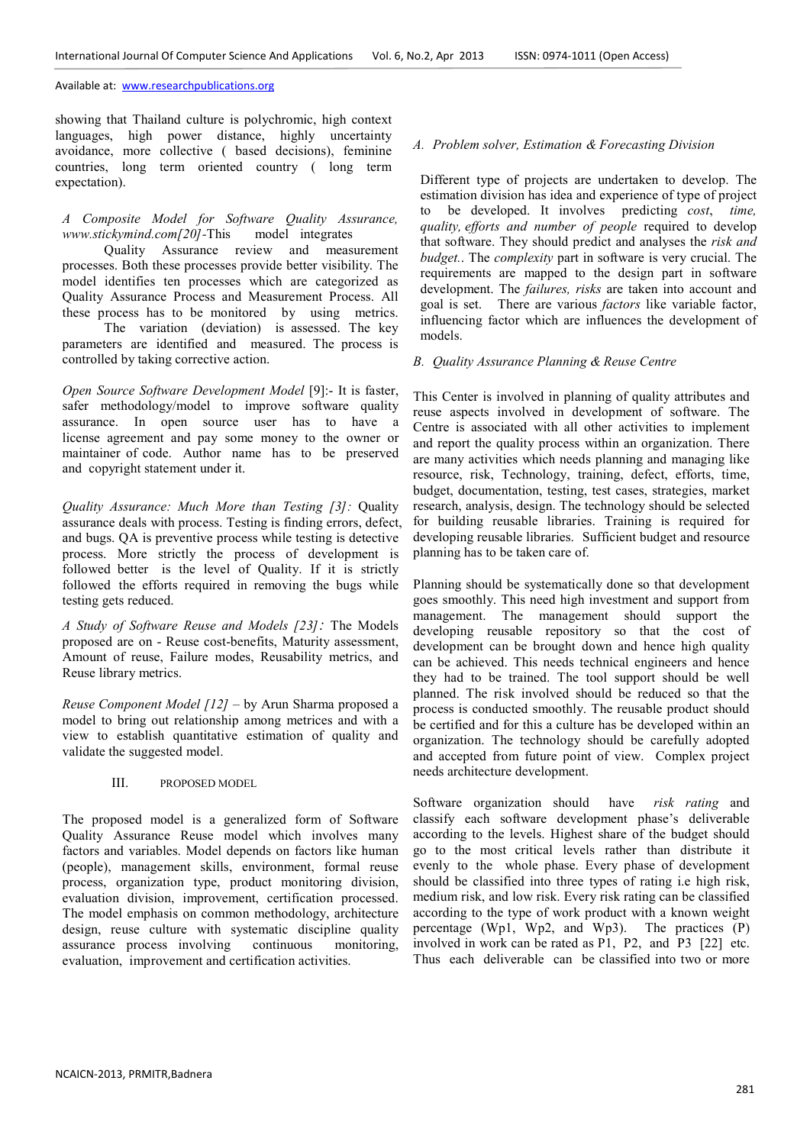showing that Thailand culture is polychromic, high context languages, high power distance, highly uncertainty avoidance, more collective ( based decisions), feminine countries, long term oriented country ( long term expectation).

# *A Composite Model for Software Quality Assurance, www.stickymind.com[20]-*This model integrates

 Quality Assurance review and measurement processes. Both these processes provide better visibility. The model identifies ten processes which are categorized as Quality Assurance Process and Measurement Process. All these process has to be monitored by using metrics.

 The variation (deviation) is assessed. The key parameters are identified and measured. The process is controlled by taking corrective action.

*Open Source Software Development Model* [9]:- It is faster, safer methodology/model to improve software quality assurance. In open source user has to have a license agreement and pay some money to the owner or maintainer of code. Author name has to be preserved and copyright statement under it.

*Quality Assurance: Much More than Testing [3]:* Quality assurance deals with process. Testing is finding errors, defect, and bugs. QA is preventive process while testing is detective process. More strictly the process of development is followed better is the level of Quality. If it is strictly followed the efforts required in removing the bugs while testing gets reduced.

*A Study of Software Reuse and Models [23]:* The Models proposed are on - Reuse cost-benefits, Maturity assessment, Amount of reuse, Failure modes, Reusability metrics, and Reuse library metrics.

*Reuse Component Model [12]* – by Arun Sharma proposed a model to bring out relationship among metrices and with a view to establish quantitative estimation of quality and validate the suggested model.

III. PROPOSED MODEL

The proposed model is a generalized form of Software Quality Assurance Reuse model which involves many factors and variables. Model depends on factors like human (people), management skills, environment, formal reuse process, organization type, product monitoring division, evaluation division, improvement, certification processed. The model emphasis on common methodology, architecture design, reuse culture with systematic discipline quality assurance process involving continuous monitoring, evaluation, improvement and certification activities.

## *A. Problem solver, Estimation & Forecasting Division*

Different type of projects are undertaken to develop. The estimation division has idea and experience of type of project to be developed. It involves predicting *cost*, *time, quality, efforts and number of people* required to develop that software. They should predict and analyses the *risk and budget.*. The *complexity* part in software is very crucial. The requirements are mapped to the design part in software development. The *failures, risks* are taken into account and goal is set. There are various *factors* like variable factor, influencing factor which are influences the development of models.

#### *B. Quality Assurance Planning & Reuse Centre*

This Center is involved in planning of quality attributes and reuse aspects involved in development of software. The Centre is associated with all other activities to implement and report the quality process within an organization. There are many activities which needs planning and managing like resource, risk, Technology, training, defect, efforts, time, budget, documentation, testing, test cases, strategies, market research, analysis, design. The technology should be selected for building reusable libraries. Training is required for developing reusable libraries. Sufficient budget and resource planning has to be taken care of.

Planning should be systematically done so that development goes smoothly. This need high investment and support from management. The management should support the developing reusable repository so that the cost of development can be brought down and hence high quality can be achieved. This needs technical engineers and hence they had to be trained. The tool support should be well planned. The risk involved should be reduced so that the process is conducted smoothly. The reusable product should be certified and for this a culture has be developed within an organization. The technology should be carefully adopted and accepted from future point of view. Complex project needs architecture development.

Software organization should have *risk rating* and classify each software development phase's deliverable according to the levels. Highest share of the budget should go to the most critical levels rather than distribute it evenly to the whole phase. Every phase of development should be classified into three types of rating i.e high risk, medium risk, and low risk. Every risk rating can be classified according to the type of work product with a known weight percentage (Wp1, Wp2, and Wp3). The practices (P) involved in work can be rated as P1, P2, and P3 [22] etc. Thus each deliverable can be classified into two or more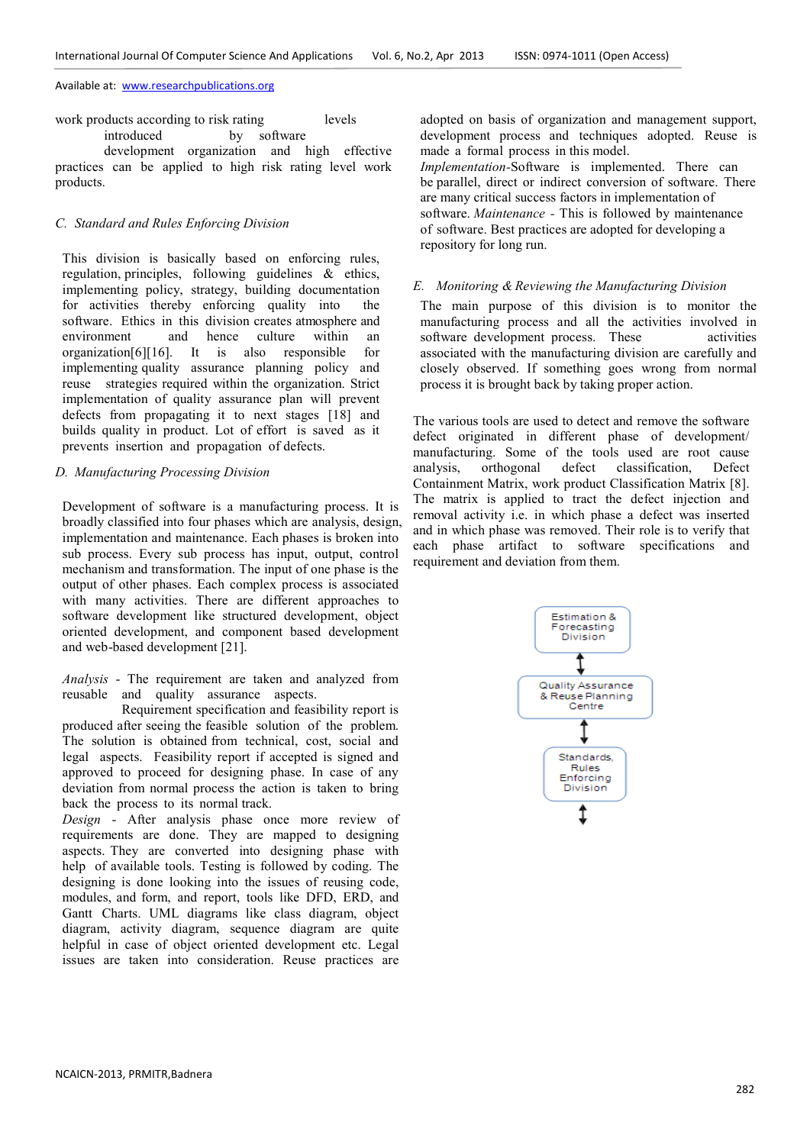work products according to risk rating levels introduced by software

 development organization and high effective practices can be applied to high risk rating level work products.

# *C. Standard and Rules Enforcing Division*

This division is basically based on enforcing rules, regulation, principles, following guidelines & ethics, implementing policy, strategy, building documentation for activities thereby enforcing quality into the software. Ethics in this division creates atmosphere and environment and hence culture within an organization[6][16]. It is also responsible for implementing quality assurance planning policy and reuse strategies required within the organization. Strict implementation of quality assurance plan will prevent defects from propagating it to next stages [18] and builds quality in product. Lot of effort is saved as it prevents insertion and propagation of defects.

### *D. Manufacturing Processing Division*

Development of software is a manufacturing process. It is broadly classified into four phases which are analysis, design, implementation and maintenance. Each phases is broken into sub process. Every sub process has input, output, control mechanism and transformation. The input of one phase is the output of other phases. Each complex process is associated with many activities. There are different approaches to software development like structured development, object oriented development, and component based development and web-based development [21].

*Analysis* - The requirement are taken and analyzed from reusable and quality assurance aspects.

 Requirement specification and feasibility report is produced after seeing the feasible solution of the problem. The solution is obtained from technical, cost, social and legal aspects. Feasibility report if accepted is signed and approved to proceed for designing phase. In case of any deviation from normal process the action is taken to bring back the process to its normal track.

*Design* - After analysis phase once more review of requirements are done. They are mapped to designing aspects. They are converted into designing phase with help of available tools. Testing is followed by coding. The designing is done looking into the issues of reusing code, modules, and form, and report, tools like DFD, ERD, and Gantt Charts. UML diagrams like class diagram, object diagram, activity diagram, sequence diagram are quite helpful in case of object oriented development etc. Legal issues are taken into consideration. Reuse practices are

adopted on basis of organization and management support, development process and techniques adopted. Reuse is made a formal process in this model. *Implementation-*Software is implemented. There can be parallel, direct or indirect conversion of software. There are many critical success factors in implementation of software. *Maintenance -* This is followed by maintenance of software. Best practices are adopted for developing a repository for long run.

### *E. Monitoring & Reviewing the Manufacturing Division*

The main purpose of this division is to monitor the manufacturing process and all the activities involved in software development process. These activities associated with the manufacturing division are carefully and closely observed. If something goes wrong from normal process it is brought back by taking proper action.

The various tools are used to detect and remove the software defect originated in different phase of development/ manufacturing. Some of the tools used are root cause analysis, orthogonal defect classification, Defect Containment Matrix, work product Classification Matrix [8]. The matrix is applied to tract the defect injection and removal activity i.e. in which phase a defect was inserted and in which phase was removed. Their role is to verify that each phase artifact to software specifications and requirement and deviation from them.

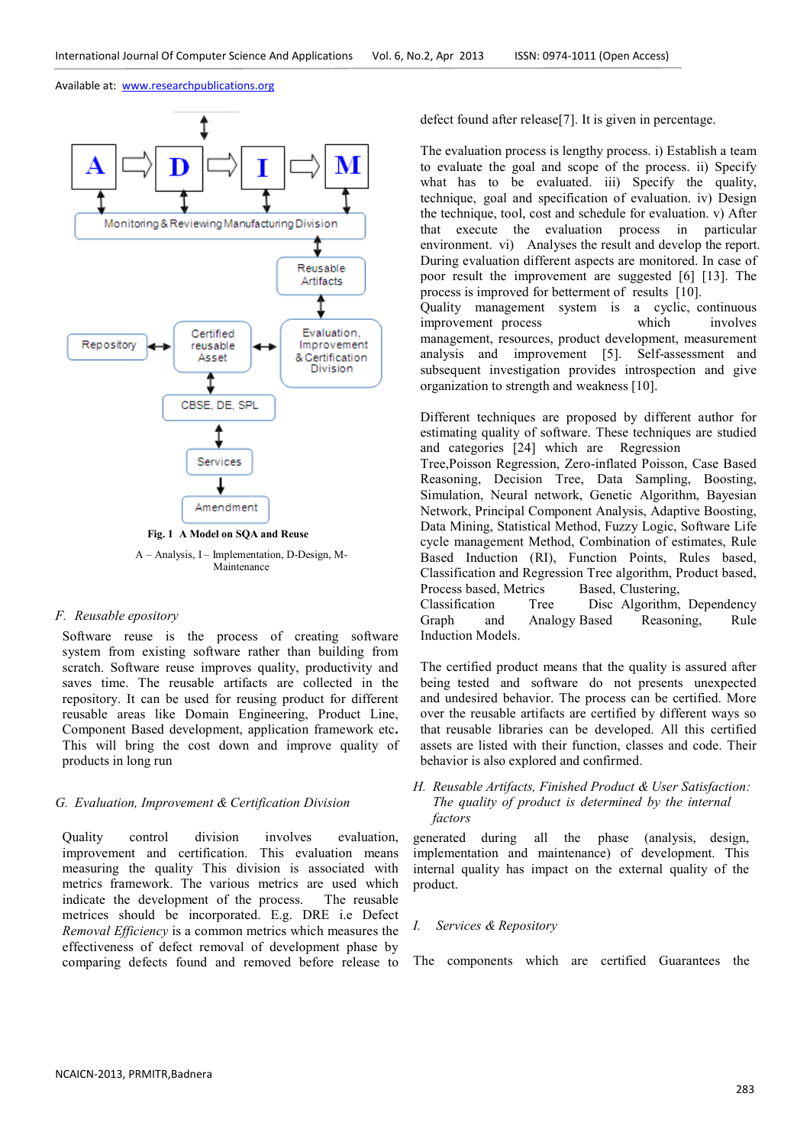

A – Analysis, I – Implementation, D-Design, M-Maintenance

#### *F. Reusable epository*

Software reuse is the process of creating software system from existing software rather than building from scratch. Software reuse improves quality, productivity and saves time. The reusable artifacts are collected in the repository. It can be used for reusing product for different reusable areas like Domain Engineering, Product Line, Component Based development, application framework etc**.**  This will bring the cost down and improve quality of products in long run

#### *G. Evaluation, Improvement & Certification Division*

Quality control division involves evaluation, improvement and certification. This evaluation means measuring the quality This division is associated with metrics framework. The various metrics are used which indicate the development of the process. The reusable metrices should be incorporated. E.g. DRE i.e Defect *Removal Efficiency* is a common metrics which measures the effectiveness of defect removal of development phase by comparing defects found and removed before release to defect found after release[7]. It is given in percentage.

The evaluation process is lengthy process. i) Establish a team to evaluate the goal and scope of the process. ii) Specify what has to be evaluated. iii) Specify the quality, technique, goal and specification of evaluation. iv) Design the technique, tool, cost and schedule for evaluation. v) After that execute the evaluation process in particular environment. vi) Analyses the result and develop the report. During evaluation different aspects are monitored. In case of poor result the improvement are suggested [6] [13]. The process is improved for betterment of results [10].

Quality management system is a cyclic, continuous improvement process which involves management, resources, product development, measurement analysis and improvement [5]. Self-assessment and subsequent investigation provides introspection and give organization to strength and weakness [10].

Different techniques are proposed by different author for estimating quality of software. These techniques are studied and categories [24] which are Regression

Tree,Poisson Regression, Zero-inflated Poisson, Case Based Reasoning, Decision Tree, Data Sampling, Boosting, Simulation, Neural network, Genetic Algorithm, Bayesian Network, Principal Component Analysis, Adaptive Boosting, Data Mining, Statistical Method, Fuzzy Logic, Software Life cycle management Method, Combination of estimates, Rule Based Induction (RI), Function Points, Rules based, Classification and Regression Tree algorithm, Product based, Process based, Metrics<br>Classification Tre

Tree Disc Algorithm, Dependency Graph and Analogy Based Reasoning, Rule Induction Models.

The certified product means that the quality is assured after being tested and software do not presents unexpected and undesired behavior. The process can be certified. More over the reusable artifacts are certified by different ways so that reusable libraries can be developed. All this certified assets are listed with their function, classes and code. Their behavior is also explored and confirmed.

# *H. Reusable Artifacts, Finished Product & User Satisfaction: The quality of product is determined by the internal factors*

generated during all the phase (analysis, design, implementation and maintenance) of development. This internal quality has impact on the external quality of the product.

#### *I. Services & Repository*

The components which are certified Guarantees the